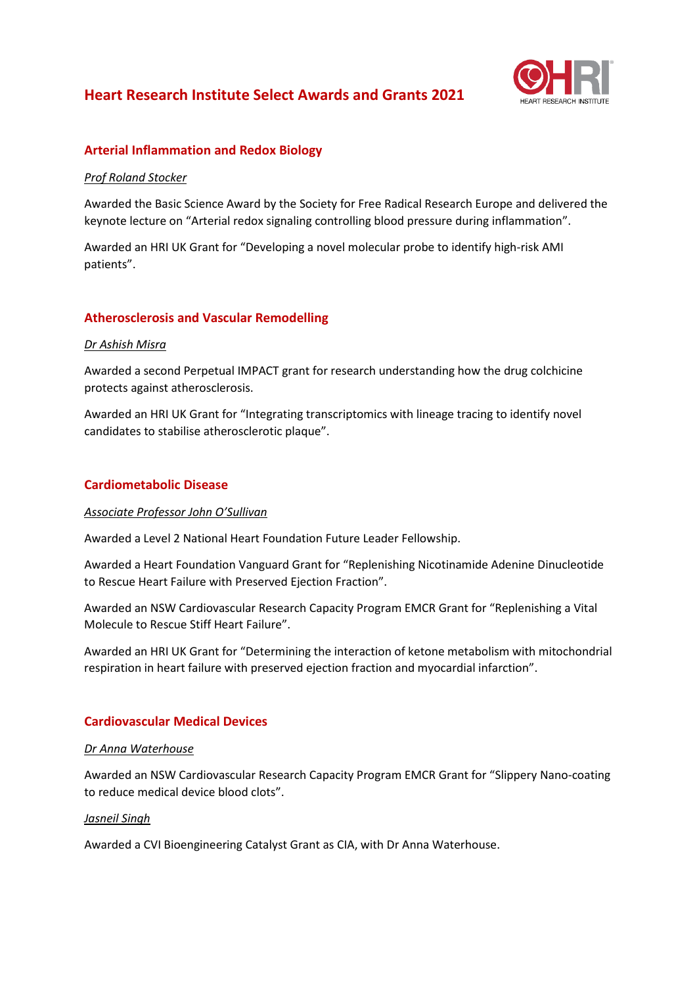# **Heart Research Institute Select Awards and Grants 2021**



# **Arterial Inflammation and Redox Biology**

#### *Prof Roland Stocker*

Awarded the Basic Science Award by the Society for Free Radical Research Europe and delivered the keynote lecture on "Arterial redox signaling controlling blood pressure during inflammation".

Awarded an HRI UK Grant for "Developing a novel molecular probe to identify high-risk AMI patients".

# **Atherosclerosis and Vascular Remodelling**

#### *Dr Ashish Misra*

Awarded a second Perpetual IMPACT grant for research understanding how the drug colchicine protects against atherosclerosis.

Awarded an HRI UK Grant for "Integrating transcriptomics with lineage tracing to identify novel candidates to stabilise atherosclerotic plaque".

### **Cardiometabolic Disease**

#### *Associate Professor John O'Sullivan*

Awarded a Level 2 National Heart Foundation Future Leader Fellowship.

Awarded a Heart Foundation Vanguard Grant for "Replenishing Nicotinamide Adenine Dinucleotide to Rescue Heart Failure with Preserved Ejection Fraction".

Awarded an NSW Cardiovascular Research Capacity Program EMCR Grant for "Replenishing a Vital Molecule to Rescue Stiff Heart Failure".

Awarded an HRI UK Grant for "Determining the interaction of ketone metabolism with mitochondrial respiration in heart failure with preserved ejection fraction and myocardial infarction".

# **Cardiovascular Medical Devices**

#### *Dr Anna Waterhouse*

Awarded an NSW Cardiovascular Research Capacity Program EMCR Grant for "Slippery Nano-coating to reduce medical device blood clots".

#### *Jasneil Singh*

Awarded a CVI Bioengineering Catalyst Grant as CIA, with Dr Anna Waterhouse.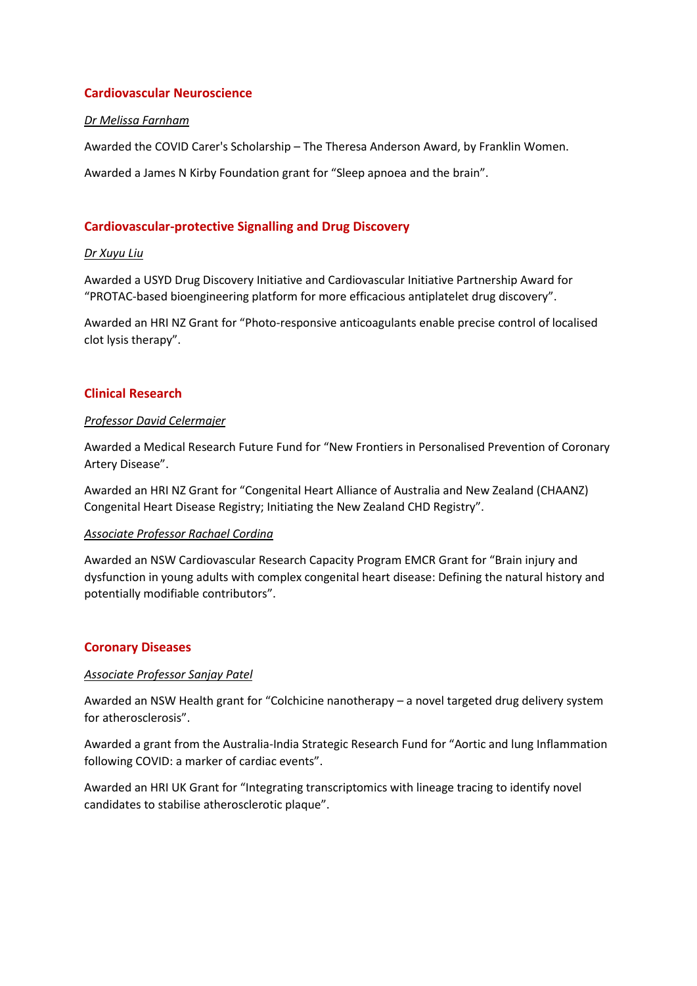# **Cardiovascular Neuroscience**

#### *Dr Melissa Farnham*

Awarded the COVID Carer's Scholarship – The Theresa Anderson Award, by Franklin Women.

Awarded a James N Kirby Foundation grant for "Sleep apnoea and the brain".

### **Cardiovascular-protective Signalling and Drug Discovery**

#### *Dr Xuyu Liu*

Awarded a USYD Drug Discovery Initiative and Cardiovascular Initiative Partnership Award for "PROTAC-based bioengineering platform for more efficacious antiplatelet drug discovery".

Awarded an HRI NZ Grant for "Photo-responsive anticoagulants enable precise control of localised clot lysis therapy".

### **Clinical Research**

#### *Professor David Celermajer*

Awarded a Medical Research Future Fund for "New Frontiers in Personalised Prevention of Coronary Artery Disease".

Awarded an HRI NZ Grant for "Congenital Heart Alliance of Australia and New Zealand (CHAANZ) Congenital Heart Disease Registry; Initiating the New Zealand CHD Registry".

#### *Associate Professor Rachael Cordina*

Awarded an NSW Cardiovascular Research Capacity Program EMCR Grant for "Brain injury and dysfunction in young adults with complex congenital heart disease: Defining the natural history and potentially modifiable contributors".

#### **Coronary Diseases**

#### *Associate Professor Sanjay Patel*

Awarded an NSW Health grant for "Colchicine nanotherapy – a novel targeted drug delivery system for atherosclerosis".

Awarded a grant from the Australia-India Strategic Research Fund for "Aortic and lung Inflammation following COVID: a marker of cardiac events".

Awarded an HRI UK Grant for "Integrating transcriptomics with lineage tracing to identify novel candidates to stabilise atherosclerotic plaque".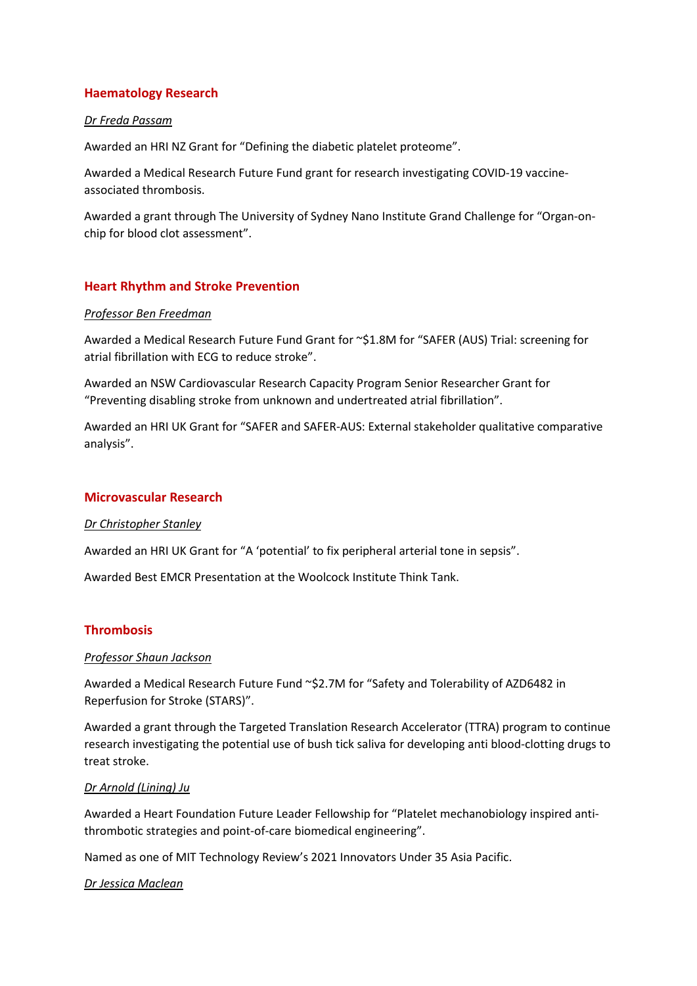# **Haematology Research**

#### *Dr Freda Passam*

Awarded an HRI NZ Grant for "Defining the diabetic platelet proteome".

Awarded a Medical Research Future Fund grant for research investigating COVID-19 vaccineassociated thrombosis.

Awarded a grant through The University of Sydney Nano Institute Grand Challenge for "Organ-onchip for blood clot assessment".

# **Heart Rhythm and Stroke Prevention**

### *Professor Ben Freedman*

Awarded a Medical Research Future Fund Grant for ~\$1.8M for "SAFER (AUS) Trial: screening for atrial fibrillation with ECG to reduce stroke".

Awarded an NSW Cardiovascular Research Capacity Program Senior Researcher Grant for "Preventing disabling stroke from unknown and undertreated atrial fibrillation".

Awarded an HRI UK Grant for "SAFER and SAFER-AUS: External stakeholder qualitative comparative analysis".

# **Microvascular Research**

#### *Dr Christopher Stanley*

Awarded an HRI UK Grant for "A 'potential' to fix peripheral arterial tone in sepsis".

Awarded Best EMCR Presentation at the Woolcock Institute Think Tank.

# **Thrombosis**

#### *Professor Shaun Jackson*

Awarded a Medical Research Future Fund ~\$2.7M for "Safety and Tolerability of AZD6482 in Reperfusion for Stroke (STARS)".

Awarded a grant through the Targeted Translation Research Accelerator (TTRA) program to continue research investigating the potential use of bush tick saliva for developing anti blood-clotting drugs to treat stroke.

#### *Dr Arnold (Lining) Ju*

Awarded a Heart Foundation Future Leader Fellowship for "Platelet mechanobiology inspired antithrombotic strategies and point-of-care biomedical engineering".

Named as one of MIT Technology Review's 2021 Innovators Under 35 Asia Pacific.

#### *Dr Jessica Maclean*